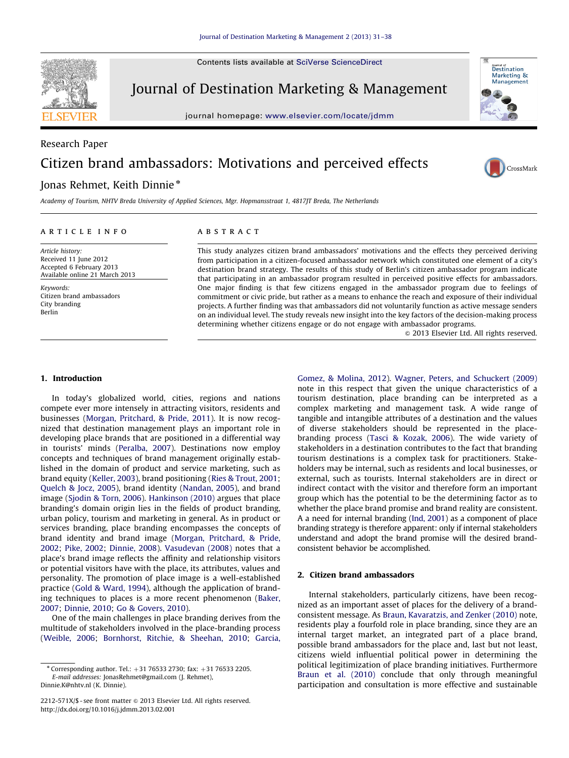Contents lists available at [SciVerse ScienceDirect](www.elsevier.com/locate/jdmm)



Journal of Destination Marketing & Management

journal homepage: <www.elsevier.com/locate/jdmm>



## Research Paper Citizen brand ambassadors: Motivations and perceived effects



### Jonas Rehmet, Keith Dinnie\*

Academy of Tourism, NHTV Breda University of Applied Sciences, Mgr. Hopmansstraat 1, 4817JT Breda, The Netherlands

#### article info

Article history: Received 11 June 2012 Accepted 6 February 2013 Available online 21 March 2013

Keywords: Citizen brand ambassadors City branding Berlin

#### **ABSTRACT**

This study analyzes citizen brand ambassadors' motivations and the effects they perceived deriving from participation in a citizen-focused ambassador network which constituted one element of a city's destination brand strategy. The results of this study of Berlin's citizen ambassador program indicate that participating in an ambassador program resulted in perceived positive effects for ambassadors. One major finding is that few citizens engaged in the ambassador program due to feelings of commitment or civic pride, but rather as a means to enhance the reach and exposure of their individual projects. A further finding was that ambassadors did not voluntarily function as active message senders on an individual level. The study reveals new insight into the key factors of the decision-making process determining whether citizens engage or do not engage with ambassador programs.

 $@$  2013 Elsevier Ltd. All rights reserved.

#### 1. Introduction

In today's globalized world, cities, regions and nations compete ever more intensely in attracting visitors, residents and businesses [\(Morgan, Pritchard,](#page--1-0) [& Pride, 2011\)](#page--1-0). It is now recognized that destination management plays an important role in developing place brands that are positioned in a differential way in tourists' minds [\(Peralba, 2007](#page--1-0)). Destinations now employ concepts and techniques of brand management originally established in the domain of product and service marketing, such as brand equity [\(Keller, 2003\)](#page--1-0), brand positioning [\(Ries](#page--1-0) & [Trout, 2001;](#page--1-0) [Quelch & Jocz, 2005](#page--1-0)), brand identity ([Nandan, 2005](#page--1-0)), and brand image ([Sjodin](#page--1-0) & [Torn, 2006](#page--1-0)). [Hankinson \(2010\)](#page--1-0) argues that place branding's domain origin lies in the fields of product branding, urban policy, tourism and marketing in general. As in product or services branding, place branding encompasses the concepts of brand identity and brand image ([Morgan, Pritchard,](#page--1-0) & [Pride,](#page--1-0) [2002;](#page--1-0) [Pike, 2002](#page--1-0); [Dinnie, 2008](#page--1-0)). [Vasudevan \(2008\)](#page--1-0) notes that a place's brand image reflects the affinity and relationship visitors or potential visitors have with the place, its attributes, values and personality. The promotion of place image is a well-established practice ([Gold](#page--1-0) [& Ward, 1994\)](#page--1-0), although the application of branding techniques to places is a more recent phenomenon [\(Baker,](#page--1-0) [2007;](#page--1-0) [Dinnie, 2010](#page--1-0); [Go](#page--1-0) [& Govers, 2010](#page--1-0)).

One of the main challenges in place branding derives from the multitude of stakeholders involved in the place-branding process ([Weible, 2006;](#page--1-0) [Bornhorst, Ritchie, & Sheehan, 2010;](#page--1-0) [Garcia,](#page--1-0) [Gomez, & Molina, 2012\)](#page--1-0). [Wagner, Peters, and Schuckert \(2009\)](#page--1-0) note in this respect that given the unique characteristics of a tourism destination, place branding can be interpreted as a complex marketing and management task. A wide range of tangible and intangible attributes of a destination and the values of diverse stakeholders should be represented in the placebranding process [\(Tasci](#page--1-0) [& Kozak, 2006](#page--1-0)). The wide variety of stakeholders in a destination contributes to the fact that branding tourism destinations is a complex task for practitioners. Stakeholders may be internal, such as residents and local businesses, or external, such as tourists. Internal stakeholders are in direct or indirect contact with the visitor and therefore form an important group which has the potential to be the determining factor as to whether the place brand promise and brand reality are consistent. A a need for internal branding [\(Ind, 2001](#page--1-0)) as a component of place branding strategy is therefore apparent: only if internal stakeholders understand and adopt the brand promise will the desired brandconsistent behavior be accomplished.

#### 2. Citizen brand ambassadors

Internal stakeholders, particularly citizens, have been recognized as an important asset of places for the delivery of a brandconsistent message. As [Braun, Kavaratzis, and Zenker \(2010\)](#page--1-0) note, residents play a fourfold role in place branding, since they are an internal target market, an integrated part of a place brand, possible brand ambassadors for the place and, last but not least, citizens wield influential political power in determining the political legitimization of place branding initiatives. Furthermore [Braun et al. \(2010\)](#page--1-0) conclude that only through meaningful participation and consultation is more effective and sustainable

 $*$  Corresponding author. Tel.:  $+31$  76533 2730; fax:  $+31$  76533 2205. E-mail addresses: [JonasRehmet@gmail.com \(J. Rehmet\),](mailto:Jonas.Rehmet@gmail.com) [Dinnie.K@nhtv.nl \(K. Dinnie\).](mailto:Dinnie.K@nhtv.nl)

<sup>2212-571</sup>X/\$ - see front matter @ 2013 Elsevier Ltd. All rights reserved. <http://dx.doi.org/10.1016/j.jdmm.2013.02.001>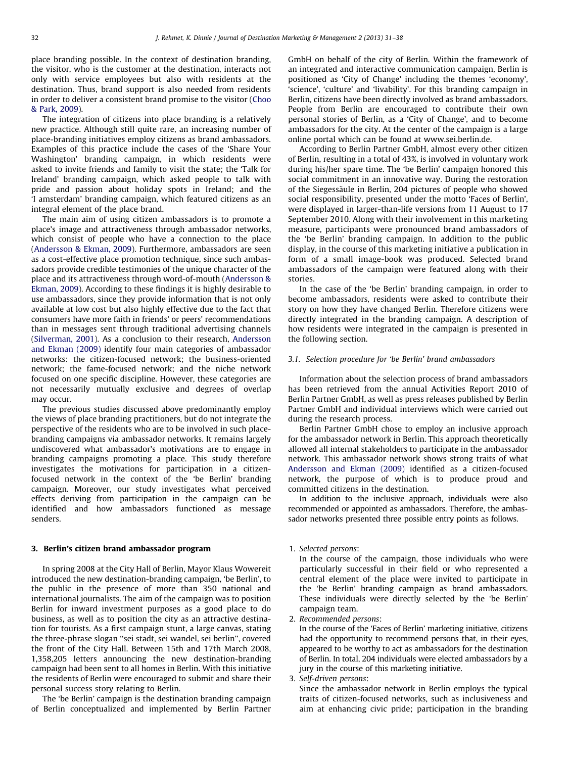place branding possible. In the context of destination branding, the visitor, who is the customer at the destination, interacts not only with service employees but also with residents at the destination. Thus, brand support is also needed from residents in order to deliver a consistent brand promise to the visitor [\(Choo](#page--1-0) [& Park, 2009\)](#page--1-0).

The integration of citizens into place branding is a relatively new practice. Although still quite rare, an increasing number of place-branding initiatives employ citizens as brand ambassadors. Examples of this practice include the cases of the 'Share Your Washington' branding campaign, in which residents were asked to invite friends and family to visit the state; the 'Talk for Ireland' branding campaign, which asked people to talk with pride and passion about holiday spots in Ireland; and the 'I amsterdam' branding campaign, which featured citizens as an integral element of the place brand.

The main aim of using citizen ambassadors is to promote a place's image and attractiveness through ambassador networks, which consist of people who have a connection to the place ([Andersson & Ekman, 2009\)](#page--1-0). Furthermore, ambassadors are seen as a cost-effective place promotion technique, since such ambassadors provide credible testimonies of the unique character of the place and its attractiveness through word-of-mouth ([Andersson &](#page--1-0) [Ekman, 2009](#page--1-0)). According to these findings it is highly desirable to use ambassadors, since they provide information that is not only available at low cost but also highly effective due to the fact that consumers have more faith in friends' or peers' recommendations than in messages sent through traditional advertising channels ([Silverman, 2001\)](#page--1-0). As a conclusion to their research, [Andersson](#page--1-0) [and Ekman \(2009\)](#page--1-0) identify four main categories of ambassador networks: the citizen-focused network; the business-oriented network; the fame-focused network; and the niche network focused on one specific discipline. However, these categories are not necessarily mutually exclusive and degrees of overlap may occur.

The previous studies discussed above predominantly employ the views of place branding practitioners, but do not integrate the perspective of the residents who are to be involved in such placebranding campaigns via ambassador networks. It remains largely undiscovered what ambassador's motivations are to engage in branding campaigns promoting a place. This study therefore investigates the motivations for participation in a citizenfocused network in the context of the 'be Berlin' branding campaign. Moreover, our study investigates what perceived effects deriving from participation in the campaign can be identified and how ambassadors functioned as message senders.

#### 3. Berlin's citizen brand ambassador program

In spring 2008 at the City Hall of Berlin, Mayor Klaus Wowereit introduced the new destination-branding campaign, 'be Berlin', to the public in the presence of more than 350 national and international journalists. The aim of the campaign was to position Berlin for inward investment purposes as a good place to do business, as well as to position the city as an attractive destination for tourists. As a first campaign stunt, a large canvas, stating the three-phrase slogan ''sei stadt, sei wandel, sei berlin'', covered the front of the City Hall. Between 15th and 17th March 2008, 1,358,205 letters announcing the new destination-branding campaign had been sent to all homes in Berlin. With this initiative the residents of Berlin were encouraged to submit and share their personal success story relating to Berlin.

The 'be Berlin' campaign is the destination branding campaign of Berlin conceptualized and implemented by Berlin Partner GmbH on behalf of the city of Berlin. Within the framework of an integrated and interactive communication campaign, Berlin is positioned as 'City of Change' including the themes 'economy', 'science', 'culture' and 'livability'. For this branding campaign in Berlin, citizens have been directly involved as brand ambassadors. People from Berlin are encouraged to contribute their own personal stories of Berlin, as a 'City of Change', and to become ambassadors for the city. At the center of the campaign is a large online portal which can be found at www.sei.berlin.de.

According to Berlin Partner GmbH, almost every other citizen of Berlin, resulting in a total of 43%, is involved in voluntary work during his/her spare time. The 'be Berlin' campaign honored this social commitment in an innovative way. During the restoration of the Siegessäule in Berlin, 204 pictures of people who showed social responsibility, presented under the motto 'Faces of Berlin', were displayed in larger-than-life versions from 11 August to 17 September 2010. Along with their involvement in this marketing measure, participants were pronounced brand ambassadors of the 'be Berlin' branding campaign. In addition to the public display, in the course of this marketing initiative a publication in form of a small image-book was produced. Selected brand ambassadors of the campaign were featured along with their stories.

In the case of the 'be Berlin' branding campaign, in order to become ambassadors, residents were asked to contribute their story on how they have changed Berlin. Therefore citizens were directly integrated in the branding campaign. A description of how residents were integrated in the campaign is presented in the following section.

#### 3.1. Selection procedure for 'be Berlin' brand ambassadors

Information about the selection process of brand ambassadors has been retrieved from the annual Activities Report 2010 of Berlin Partner GmbH, as well as press releases published by Berlin Partner GmbH and individual interviews which were carried out during the research process.

Berlin Partner GmbH chose to employ an inclusive approach for the ambassador network in Berlin. This approach theoretically allowed all internal stakeholders to participate in the ambassador network. This ambassador network shows strong traits of what [Andersson and Ekman \(2009\)](#page--1-0) identified as a citizen-focused network, the purpose of which is to produce proud and committed citizens in the destination.

In addition to the inclusive approach, individuals were also recommended or appointed as ambassadors. Therefore, the ambassador networks presented three possible entry points as follows.

1. Selected persons:

In the course of the campaign, those individuals who were particularly successful in their field or who represented a central element of the place were invited to participate in the 'be Berlin' branding campaign as brand ambassadors. These individuals were directly selected by the 'be Berlin' campaign team.

2. Recommended persons:

In the course of the 'Faces of Berlin' marketing initiative, citizens had the opportunity to recommend persons that, in their eyes, appeared to be worthy to act as ambassadors for the destination of Berlin. In total, 204 individuals were elected ambassadors by a jury in the course of this marketing initiative.

3. Self-driven persons:

Since the ambassador network in Berlin employs the typical traits of citizen-focused networks, such as inclusiveness and aim at enhancing civic pride; participation in the branding